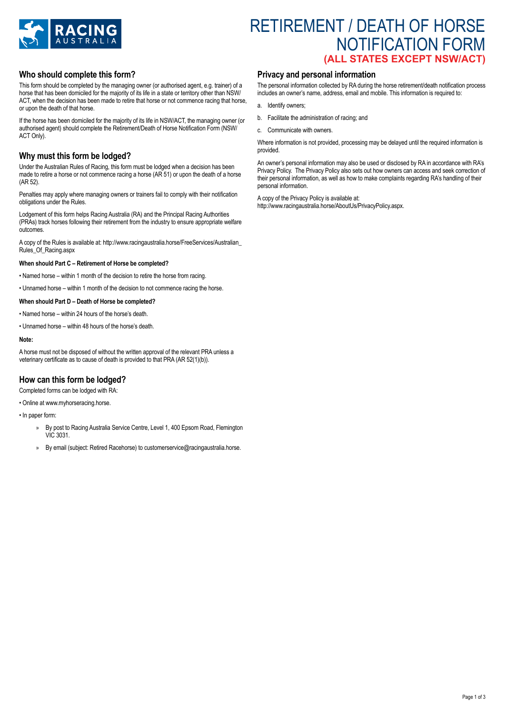

# RETIREMENT / DEATH OF HORSE NOTIFICATION FORM **(ALL STATES EXCEPT NSW/ACT)**

## **Who should complete this form?**

This form should be completed by the managing owner (or authorised agent, e.g. trainer) of a horse that has been domiciled for the majority of its life in a state or territory other than NSW/ ACT, when the decision has been made to retire that horse or not commence racing that horse, or upon the death of that horse.

If the horse has been domiciled for the majority of its life in NSW/ACT, the managing owner (or authorised agent) should complete the Retirement/Death of Horse Notification Form (NSW/ ACT Only).

## **Why must this form be lodged?**

Under the Australian Rules of Racing, this form must be lodged when a decision has been made to retire a horse or not commence racing a horse (AR 51) or upon the death of a horse (AR 52).

Penalties may apply where managing owners or trainers fail to comply with their notification obligations under the Rules.

Lodgement of this form helps Racing Australia (RA) and the Principal Racing Authorities (PRAs) track horses following their retirement from the industry to ensure appropriate welfare outcomes.

A copy of the Rules is available at: http://www.racingaustralia.horse/FreeServices/Australian\_ Rules\_Of\_Racing.aspx

### **When should Part C – Retirement of Horse be completed?**

• Named horse – within 1 month of the decision to retire the horse from racing.

• Unnamed horse – within 1 month of the decision to not commence racing the horse.

#### **When should Part D – Death of Horse be completed?**

- Named horse within 24 hours of the horse's death.
- Unnamed horse within 48 hours of the horse's death.

#### **Note:**

A horse must not be disposed of without the written approval of the relevant PRA unless a veterinary certificate as to cause of death is provided to that PRA (AR 52(1)(b)).

## **How can this form be lodged?**

Completed forms can be lodged with RA:

• Online at www.myhorseracing.horse.

- In paper form:
	- By post to Racing Australia Service Centre, Level 1, 400 Epsom Road, Flemington VIC 3031.
	- » By email (subject: Retired Racehorse) to customerservice@racingaustralia.horse.

## **Privacy and personal information**

The personal information collected by RA during the horse retirement/death notification process includes an owner's name, address, email and mobile. This information is required to:

- a. Identify owners;
- b. Facilitate the administration of racing; and
- c. Communicate with owners.

Where information is not provided, processing may be delayed until the required information is provided.

An owner's personal information may also be used or disclosed by RA in accordance with RA's Privacy Policy. The Privacy Policy also sets out how owners can access and seek correction of their personal information, as well as how to make complaints regarding RA's handling of their personal information.

A copy of the Privacy Policy is available at: http://www.racingaustralia.horse/AboutUs/PrivacyPolicy.aspx.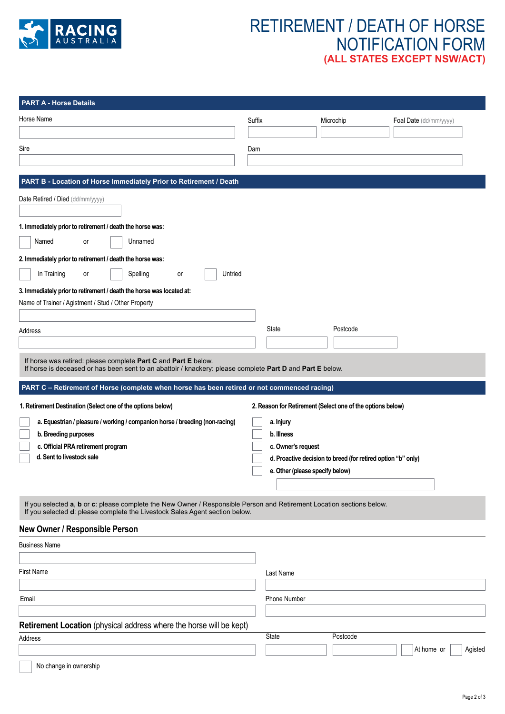

# RETIREMENT / DEATH OF HORSE NOTIFICATION FORM **(ALL STATES EXCEPT NSW/ACT)**

| <b>PART A - Horse Details</b>                                                                                                                                                                        |                                 |                                                              |                        |
|------------------------------------------------------------------------------------------------------------------------------------------------------------------------------------------------------|---------------------------------|--------------------------------------------------------------|------------------------|
| Horse Name                                                                                                                                                                                           | Suffix                          | Microchip                                                    | Foal Date (dd/mm/yyyy) |
|                                                                                                                                                                                                      |                                 |                                                              |                        |
| Sire                                                                                                                                                                                                 | Dam                             |                                                              |                        |
|                                                                                                                                                                                                      |                                 |                                                              |                        |
| PART B - Location of Horse Immediately Prior to Retirement / Death                                                                                                                                   |                                 |                                                              |                        |
| Date Retired / Died (dd/mm/yyyy)                                                                                                                                                                     |                                 |                                                              |                        |
|                                                                                                                                                                                                      |                                 |                                                              |                        |
| 1. Immediately prior to retirement / death the horse was:                                                                                                                                            |                                 |                                                              |                        |
| Named<br>Unnamed<br>or                                                                                                                                                                               |                                 |                                                              |                        |
| 2. Immediately prior to retirement / death the horse was:                                                                                                                                            |                                 |                                                              |                        |
| In Training<br>Spelling<br>Untried<br>or<br>or                                                                                                                                                       |                                 |                                                              |                        |
| 3. Immediately prior to retirement / death the horse was located at:                                                                                                                                 |                                 |                                                              |                        |
| Name of Trainer / Agistment / Stud / Other Property                                                                                                                                                  |                                 |                                                              |                        |
|                                                                                                                                                                                                      | State                           | Postcode                                                     |                        |
| Address                                                                                                                                                                                              |                                 |                                                              |                        |
| If horse was retired: please complete Part C and Part E below.                                                                                                                                       |                                 |                                                              |                        |
|                                                                                                                                                                                                      |                                 |                                                              |                        |
| If horse is deceased or has been sent to an abattoir / knackery: please complete Part D and Part E below.                                                                                            |                                 |                                                              |                        |
| PART C - Retirement of Horse (complete when horse has been retired or not commenced racing)                                                                                                          |                                 |                                                              |                        |
| 1. Retirement Destination (Select one of the options below)                                                                                                                                          |                                 | 2. Reason for Retirement (Select one of the options below)   |                        |
| a. Equestrian / pleasure / working / companion horse / breeding (non-racing)                                                                                                                         | a. Injury                       |                                                              |                        |
| b. Breeding purposes                                                                                                                                                                                 | b. Illness                      |                                                              |                        |
| c. Official PRA retirement program                                                                                                                                                                   | c. Owner's request              |                                                              |                        |
| d. Sent to livestock sale                                                                                                                                                                            |                                 | d. Proactive decision to breed (for retired option "b" only) |                        |
|                                                                                                                                                                                                      | e. Other (please specify below) |                                                              |                        |
|                                                                                                                                                                                                      |                                 |                                                              |                        |
| If you selected a, b or c: please complete the New Owner / Responsible Person and Retirement Location sections below.<br>If you selected d: please complete the Livestock Sales Agent section below. |                                 |                                                              |                        |
| New Owner / Responsible Person                                                                                                                                                                       |                                 |                                                              |                        |
| <b>Business Name</b>                                                                                                                                                                                 |                                 |                                                              |                        |
|                                                                                                                                                                                                      |                                 |                                                              |                        |
| <b>First Name</b>                                                                                                                                                                                    | Last Name                       |                                                              |                        |
|                                                                                                                                                                                                      |                                 |                                                              |                        |
| Email                                                                                                                                                                                                | <b>Phone Number</b>             |                                                              |                        |
| Retirement Location (physical address where the horse will be kept)                                                                                                                                  |                                 |                                                              |                        |
| Address                                                                                                                                                                                              | <b>State</b>                    | Postcode                                                     |                        |